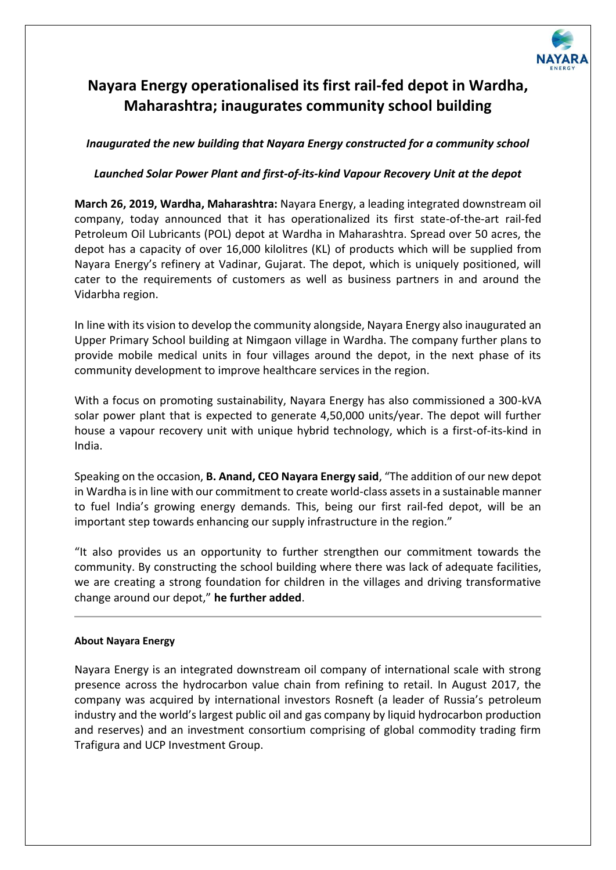

## **Nayara Energy operationalised its first rail-fed depot in Wardha, Maharashtra; inaugurates community school building**

## *Inaugurated the new building that Nayara Energy constructed for a community school*

## *Launched Solar Power Plant and first-of-its-kind Vapour Recovery Unit at the depot*

**March 26, 2019, Wardha, Maharashtra:** Nayara Energy, a leading integrated downstream oil company, today announced that it has operationalized its first state-of-the-art rail-fed Petroleum Oil Lubricants (POL) depot at Wardha in Maharashtra. Spread over 50 acres, the depot has a capacity of over 16,000 kilolitres (KL) of products which will be supplied from Nayara Energy's refinery at Vadinar, Gujarat. The depot, which is uniquely positioned, will cater to the requirements of customers as well as business partners in and around the Vidarbha region.

In line with its vision to develop the community alongside, Nayara Energy also inaugurated an Upper Primary School building at Nimgaon village in Wardha. The company further plans to provide mobile medical units in four villages around the depot, in the next phase of its community development to improve healthcare services in the region.

With a focus on promoting sustainability, Nayara Energy has also commissioned a 300-kVA solar power plant that is expected to generate 4,50,000 units/year. The depot will further house a vapour recovery unit with unique hybrid technology, which is a first-of-its-kind in India.

Speaking on the occasion, **B. Anand, CEO Nayara Energy said**, "The addition of our new depot in Wardha is in line with our commitment to create world-class assets in a sustainable manner to fuel India's growing energy demands. This, being our first rail-fed depot, will be an important step towards enhancing our supply infrastructure in the region."

"It also provides us an opportunity to further strengthen our commitment towards the community. By constructing the school building where there was lack of adequate facilities, we are creating a strong foundation for children in the villages and driving transformative change around our depot," **he further added**.

## **About Nayara Energy**

Nayara Energy is an integrated downstream oil company of international scale with strong presence across the hydrocarbon value chain from refining to retail. In August 2017, the company was acquired by international investors Rosneft (a leader of Russia's petroleum industry and the world's largest public oil and gas company by liquid hydrocarbon production and reserves) and an investment consortium comprising of global commodity trading firm Trafigura and UCP Investment Group.